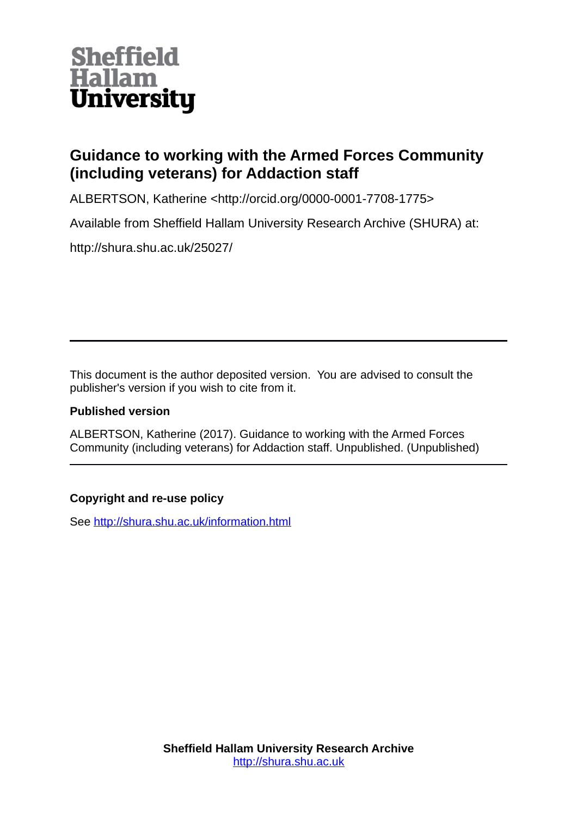

# **Guidance to working with the Armed Forces Community (including veterans) for Addaction staff**

ALBERTSON, Katherine <http://orcid.org/0000-0001-7708-1775>

Available from Sheffield Hallam University Research Archive (SHURA) at:

http://shura.shu.ac.uk/25027/

This document is the author deposited version. You are advised to consult the publisher's version if you wish to cite from it.

### **Published version**

ALBERTSON, Katherine (2017). Guidance to working with the Armed Forces Community (including veterans) for Addaction staff. Unpublished. (Unpublished)

## **Copyright and re-use policy**

See<http://shura.shu.ac.uk/information.html>